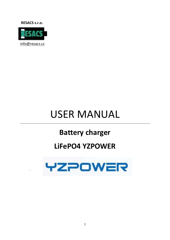**RESACS s.r.o.** 



# **USER MANUAL**

# **Battery charger**

## LiFePO4 YZPOWER

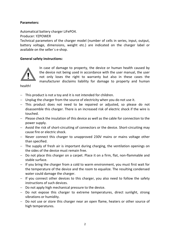#### Parameters:

Automatical battery charger LiFePO4.

Producer: YZPOWER

Technical parameters of the charger model (number of cells in series, input, output, battery voltage, dimensions, weight etc.) are indicated on the charger label or available on the seller´s e-shop.

### General safety instructions:



In case of damage to property, the device or human health caused by the device not being used in accordance with the user manual, the user not only loses the right to warranty but also in these cases the manufacturer disclaims liability for damage to property and human

health!

- $-$  This product is not a toy and it is not intended for children.
- $-$  Unplug the charger from the source of electricity when you do not use it.
- This product does not need to be repaired or adjusted, so please do not disassemble this charger. There is an increased risk of electric shock if the wire is touched.
- Please check the insulation of this device as well as the cable for connection to the power supply.
- Avoid the risk of short-circuiting of connectors or the device. Short-circuiting may cause fire or electric shock.
- Never connect this charger to unapproved 230V mains or mains voltage other than specified.
- The supply of fresh air is important during charging, the ventilation openings on the sides of the device must remain free.
- Do not place this charger on a carpet. Place it on a firm, flat, non-flammable and stable surface.
- $-I$  If you bring the charger from a cold to warm environment, you must first wait for the temperature of the device and the room to equalize. The resulting condensed water could damage the charger.
- $-$  If you connect other devices to this charger, you also need to follow the safety instructions of such devices.
- $-$  Do not apply high mechanical pressure to the device.
- Do not expose this charger to extreme temperatures, direct sunlight, strong vibrations or humidity.
- Do not use or store this charger near an open flame, heaters or other source of high temperatures.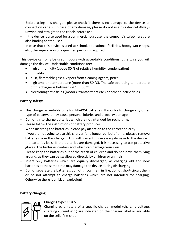- Before using this charger, please check if there is no damage to the device or connection cabels. In case of any damage, please do not use this device! Always unwind and straighten the cabels before use.
- $-I$  If the device is also used for a commercial purpose, the company's safety rules are also binding for the user.
- $-$  In case that this device is used at school, educational facilities, hobby workshops, etc., the supervision of a qualified person is required.

This device can only be used indoors with acceptable conditions, otherwise you will damage the device. Undesirable conditions are:

- high air humidity (above 80 % of relative humidity, condensation)
- humidity
- dust, flammable gases, vapors from cleaning agents, petrol
- high ambient temperature (more than 50 °C). The safe operating temperature of this charger is between -20°C ~ 50°C.
- electromagnetic fields (motors, transformers etc.) or other electric fields.

#### Battery safety:

- $-$  This charger is suitable only for LiFePO4 batteries. If you try to charge any other type of battery, it may cause personal injuries and property damage.
- Do not try to charge batteries which are not intended for recharging.
- $-$  Please follow the instructions of battery producer.
- When inserting the batteries, please pay attention to the correct polarity.
- $-I$  If you are not going to use this charger for a longer period of time, plesase remove batteries from this charger. This will prevent unnecessary damage to the device if the batteries leak. If the batteries are damaged, it is necessary to use protective gloves. The batteries contain acid which can damage your skin.
- $P$  Please keep the batteries out of the reach of children and do not leave them lying around, as they can be swallowed directly by children or animals.
- $-$  Insert only batteries which are equally discharged, as charging old and new batteries at the same time may damage the device during discharging.
- $-$  Do not separate the batteries, do not throw them in fire, do not short-circuit them or do not attempt to charge batteries which are not intended for charging. Otherwise there is a risk of explosion!

### Battery charging:



#### Charging type: CC/CV

Charging parameters of a specific charger model (charging voltage, charging current etc.) are indicated on the charger label or available on the seller´s e-shop.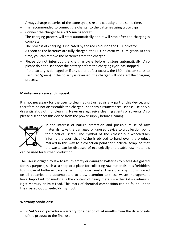- Always charge batteries of the same type, size and capacity at the same time.
- $-$  It is recommended to connect the charger to the batteries using croco clips.
- $-$  Connect the charger to a 230V mains socket.
- $-$  The charging process will start automatically and it will stop after the charging is complete.
- The process of charging is indicated by the red colour on the LED indicator.
- As soon as the batteries are fully charged, the LED indicator will turn green. At this time, you can remove the batteries from the charger.
- $-$  Please do not interrupt the charging cycle before it stops automatically. Also please do not disconnect the battery before the charging cycle has stopped.
- $-I$  If the battery is damaged or if any other defect occurs, the LED indicator starts to flash (red/green). If the polarity is reversed, the charger will not start the charging process.

#### Maintenance, care and disposal:

It is not necessary for the user to clean, adjust or repair any part of this device, and therefore do not disassemble the charger under any circumstances. Please use only a dry antistatic cloth for cleaning. Never use aggresive cleaning agents or solvents. Also please disconnect this device from the power supply before cleaning.



In the interest of nature protection and possible reuse of raw materials, take the damaged or unused device to a collection point for electrical scrap. The symbol of the crossed-out wheeled-bin informs the user, that he/she is obliged to hand over the product marked in this way to a collection point for electrical scrap, so that the waste can be disposed of ecologically and usable raw materials

can be used for further production.

The user is obliged by law to return empty or damaged batteries to places designated for this purpose, such as a shop or a place for collecting raw materials. It is forbidden to dispose of batteries together with municipal waste! Therefore, a symbol is placed on all batteries and accumulators to draw attention to these waste management laws. Important for marking is the content of heavy metals – either Cd = Cadmium, Hg = Mercury or Pb = Lead. This mark of chemical composition can be found under the crossed-out wheeled-bin symbol.

#### Warranty conditions:

 RESACS s.r.o. provides a warranty for a period of 24 months from the date of sale of the product to the final user.